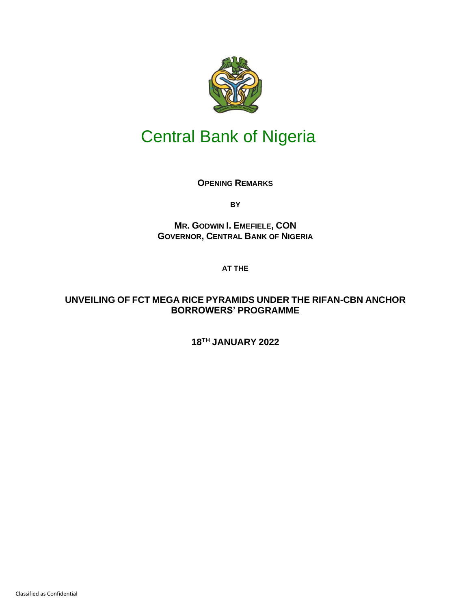

## Central Bank of Nigeria

**OPENING REMARKS**

**BY**

**MR. GODWIN I. EMEFIELE, CON GOVERNOR, CENTRAL BANK OF NIGERIA**

**AT THE** 

## **UNVEILING OF FCT MEGA RICE PYRAMIDS UNDER THE RIFAN-CBN ANCHOR BORROWERS' PROGRAMME**

**18TH JANUARY 2022**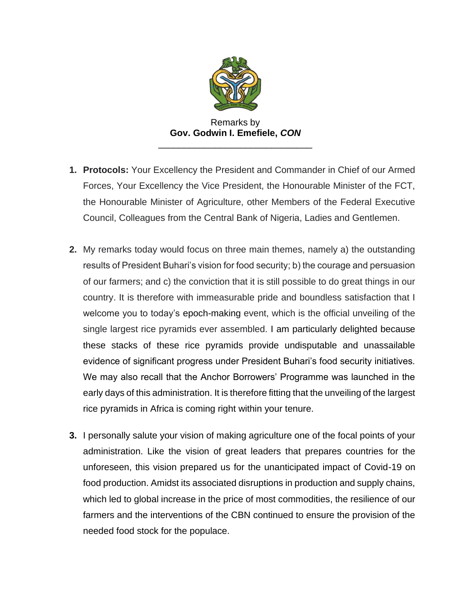

Remarks by **Gov. Godwin I. Emefiele,** *CON* \_\_\_\_\_\_\_\_\_\_\_\_\_\_\_\_\_\_\_\_\_\_\_\_\_\_\_\_\_\_

- **1. Protocols:** Your Excellency the President and Commander in Chief of our Armed Forces, Your Excellency the Vice President, the Honourable Minister of the FCT, the Honourable Minister of Agriculture, other Members of the Federal Executive Council, Colleagues from the Central Bank of Nigeria, Ladies and Gentlemen.
- **2.** My remarks today would focus on three main themes, namely a) the outstanding results of President Buhari's vision for food security; b) the courage and persuasion of our farmers; and c) the conviction that it is still possible to do great things in our country. It is therefore with immeasurable pride and boundless satisfaction that I welcome you to today's epoch-making event, which is the official unveiling of the single largest rice pyramids ever assembled. I am particularly delighted because these stacks of these rice pyramids provide undisputable and unassailable evidence of significant progress under President Buhari's food security initiatives. We may also recall that the Anchor Borrowers' Programme was launched in the early days of this administration. It is therefore fitting that the unveiling of the largest rice pyramids in Africa is coming right within your tenure.
- **3.** I personally salute your vision of making agriculture one of the focal points of your administration. Like the vision of great leaders that prepares countries for the unforeseen, this vision prepared us for the unanticipated impact of Covid-19 on food production. Amidst its associated disruptions in production and supply chains, which led to global increase in the price of most commodities, the resilience of our farmers and the interventions of the CBN continued to ensure the provision of the needed food stock for the populace.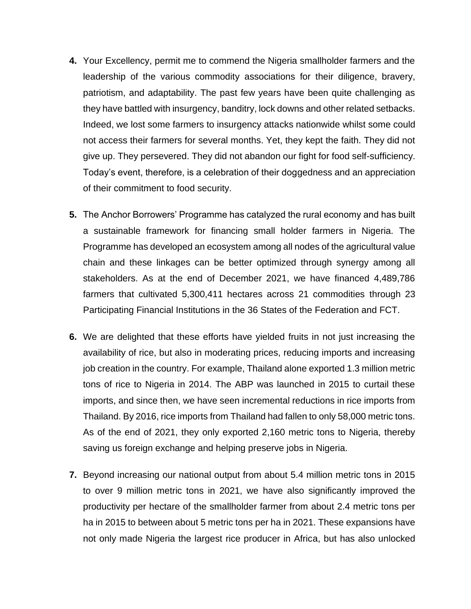- **4.** Your Excellency, permit me to commend the Nigeria smallholder farmers and the leadership of the various commodity associations for their diligence, bravery, patriotism, and adaptability. The past few years have been quite challenging as they have battled with insurgency, banditry, lock downs and other related setbacks. Indeed, we lost some farmers to insurgency attacks nationwide whilst some could not access their farmers for several months. Yet, they kept the faith. They did not give up. They persevered. They did not abandon our fight for food self-sufficiency. Today's event, therefore, is a celebration of their doggedness and an appreciation of their commitment to food security.
- **5.** The Anchor Borrowers' Programme has catalyzed the rural economy and has built a sustainable framework for financing small holder farmers in Nigeria. The Programme has developed an ecosystem among all nodes of the agricultural value chain and these linkages can be better optimized through synergy among all stakeholders. As at the end of December 2021, we have financed 4,489,786 farmers that cultivated 5,300,411 hectares across 21 commodities through 23 Participating Financial Institutions in the 36 States of the Federation and FCT.
- **6.** We are delighted that these efforts have yielded fruits in not just increasing the availability of rice, but also in moderating prices, reducing imports and increasing job creation in the country. For example, Thailand alone exported 1.3 million metric tons of rice to Nigeria in 2014. The ABP was launched in 2015 to curtail these imports, and since then, we have seen incremental reductions in rice imports from Thailand. By 2016, rice imports from Thailand had fallen to only 58,000 metric tons. As of the end of 2021, they only exported 2,160 metric tons to Nigeria, thereby saving us foreign exchange and helping preserve jobs in Nigeria.
- **7.** Beyond increasing our national output from about 5.4 million metric tons in 2015 to over 9 million metric tons in 2021, we have also significantly improved the productivity per hectare of the smallholder farmer from about 2.4 metric tons per ha in 2015 to between about 5 metric tons per ha in 2021. These expansions have not only made Nigeria the largest rice producer in Africa, but has also unlocked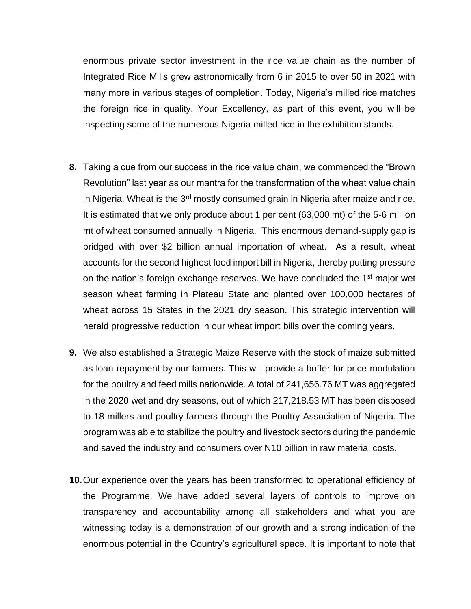enormous private sector investment in the rice value chain as the number of Integrated Rice Mills grew astronomically from 6 in 2015 to over 50 in 2021 with many more in various stages of completion. Today, Nigeria's milled rice matches the foreign rice in quality. Your Excellency, as part of this event, you will be inspecting some of the numerous Nigeria milled rice in the exhibition stands.

- **8.** Taking a cue from our success in the rice value chain, we commenced the "Brown Revolution" last year as our mantra for the transformation of the wheat value chain in Nigeria. Wheat is the 3<sup>rd</sup> mostly consumed grain in Nigeria after maize and rice. It is estimated that we only produce about 1 per cent (63,000 mt) of the 5-6 million mt of wheat consumed annually in Nigeria. This enormous demand-supply gap is bridged with over \$2 billion annual importation of wheat. As a result, wheat accounts for the second highest food import bill in Nigeria, thereby putting pressure on the nation's foreign exchange reserves. We have concluded the 1<sup>st</sup> major wet season wheat farming in Plateau State and planted over 100,000 hectares of wheat across 15 States in the 2021 dry season. This strategic intervention will herald progressive reduction in our wheat import bills over the coming years.
- **9.** We also established a Strategic Maize Reserve with the stock of maize submitted as loan repayment by our farmers. This will provide a buffer for price modulation for the poultry and feed mills nationwide. A total of 241,656.76 MT was aggregated in the 2020 wet and dry seasons, out of which 217,218.53 MT has been disposed to 18 millers and poultry farmers through the Poultry Association of Nigeria. The program was able to stabilize the poultry and livestock sectors during the pandemic and saved the industry and consumers over N10 billion in raw material costs.
- **10.**Our experience over the years has been transformed to operational efficiency of the Programme. We have added several layers of controls to improve on transparency and accountability among all stakeholders and what you are witnessing today is a demonstration of our growth and a strong indication of the enormous potential in the Country's agricultural space. It is important to note that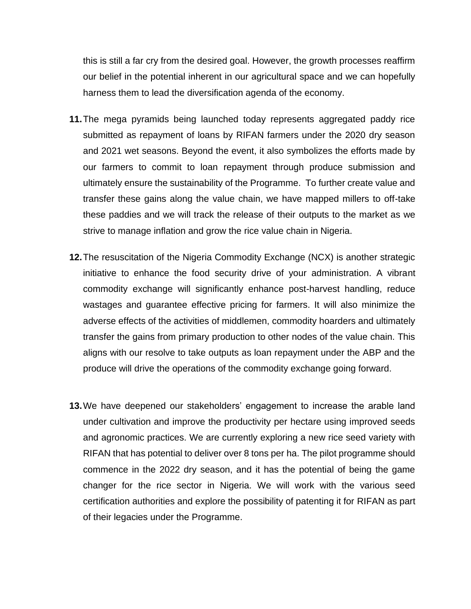this is still a far cry from the desired goal. However, the growth processes reaffirm our belief in the potential inherent in our agricultural space and we can hopefully harness them to lead the diversification agenda of the economy.

- **11.**The mega pyramids being launched today represents aggregated paddy rice submitted as repayment of loans by RIFAN farmers under the 2020 dry season and 2021 wet seasons. Beyond the event, it also symbolizes the efforts made by our farmers to commit to loan repayment through produce submission and ultimately ensure the sustainability of the Programme. To further create value and transfer these gains along the value chain, we have mapped millers to off-take these paddies and we will track the release of their outputs to the market as we strive to manage inflation and grow the rice value chain in Nigeria.
- **12.**The resuscitation of the Nigeria Commodity Exchange (NCX) is another strategic initiative to enhance the food security drive of your administration. A vibrant commodity exchange will significantly enhance post-harvest handling, reduce wastages and guarantee effective pricing for farmers. It will also minimize the adverse effects of the activities of middlemen, commodity hoarders and ultimately transfer the gains from primary production to other nodes of the value chain. This aligns with our resolve to take outputs as loan repayment under the ABP and the produce will drive the operations of the commodity exchange going forward.
- **13.**We have deepened our stakeholders' engagement to increase the arable land under cultivation and improve the productivity per hectare using improved seeds and agronomic practices. We are currently exploring a new rice seed variety with RIFAN that has potential to deliver over 8 tons per ha. The pilot programme should commence in the 2022 dry season, and it has the potential of being the game changer for the rice sector in Nigeria. We will work with the various seed certification authorities and explore the possibility of patenting it for RIFAN as part of their legacies under the Programme.